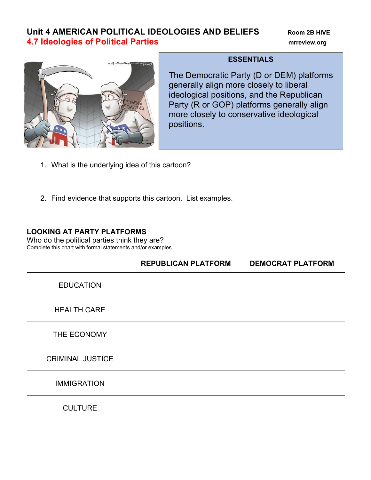# **Unit 4 AMERICAN POLITICAL IDEOLOGIES AND BELIEFS** Room 2B HIVE **4.7 Ideologies of Political Parties mrreview.org**



## **ESSENTIALS**

The Democratic Party (D or DEM) platforms generally align more closely to liberal ideological positions, and the Republican Party (R or GOP) platforms generally align more closely to conservative ideological positions.

- 1. What is the underlying idea of this cartoon?
- 2. Find evidence that supports this cartoon. List examples.

## **LOOKING AT PARTY PLATFORMS**

Who do the political parties think they are? Complete this chart with formal statements and/or examples

|                         | <b>REPUBLICAN PLATFORM</b> | <b>DEMOCRAT PLATFORM</b> |
|-------------------------|----------------------------|--------------------------|
| <b>EDUCATION</b>        |                            |                          |
| <b>HEALTH CARE</b>      |                            |                          |
| THE ECONOMY             |                            |                          |
| <b>CRIMINAL JUSTICE</b> |                            |                          |
| <b>IMMIGRATION</b>      |                            |                          |
| <b>CULTURE</b>          |                            |                          |